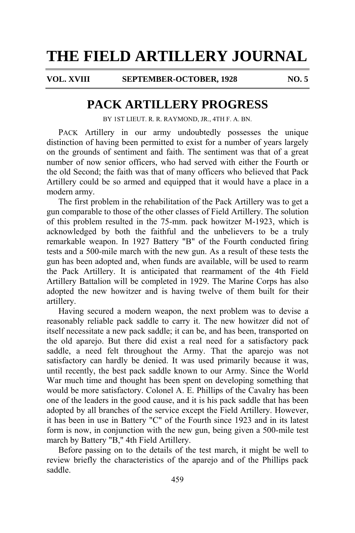**VOL. XVIII SEPTEMBER-OCTOBER, 1928 NO. 5**

## **PACK ARTILLERY PROGRESS**

BY 1ST LIEUT. R. R. RAYMOND, JR., 4TH F. A. BN.

PACK Artillery in our army undoubtedly possesses the unique distinction of having been permitted to exist for a number of years largely on the grounds of sentiment and faith. The sentiment was that of a great number of now senior officers, who had served with either the Fourth or the old Second; the faith was that of many officers who believed that Pack Artillery could be so armed and equipped that it would have a place in a modern army.

The first problem in the rehabilitation of the Pack Artillery was to get a gun comparable to those of the other classes of Field Artillery. The solution of this problem resulted in the 75-mm. pack howitzer M-1923, which is acknowledged by both the faithful and the unbelievers to be a truly remarkable weapon. In 1927 Battery "B" of the Fourth conducted firing tests and a 500-mile march with the new gun. As a result of these tests the gun has been adopted and, when funds are available, will be used to rearm the Pack Artillery. It is anticipated that rearmament of the 4th Field Artillery Battalion will be completed in 1929. The Marine Corps has also adopted the new howitzer and is having twelve of them built for their artillery.

Having secured a modern weapon, the next problem was to devise a reasonably reliable pack saddle to carry it. The new howitzer did not of itself necessitate a new pack saddle; it can be, and has been, transported on the old aparejo. But there did exist a real need for a satisfactory pack saddle, a need felt throughout the Army. That the aparejo was not satisfactory can hardly be denied. It was used primarily because it was, until recently, the best pack saddle known to our Army. Since the World War much time and thought has been spent on developing something that would be more satisfactory. Colonel A. E. Phillips of the Cavalry has been one of the leaders in the good cause, and it is his pack saddle that has been adopted by all branches of the service except the Field Artillery. However, it has been in use in Battery "C" of the Fourth since 1923 and in its latest form is now, in conjunction with the new gun, being given a 500-mile test march by Battery "B," 4th Field Artillery.

Before passing on to the details of the test march, it might be well to review briefly the characteristics of the aparejo and of the Phillips pack saddle.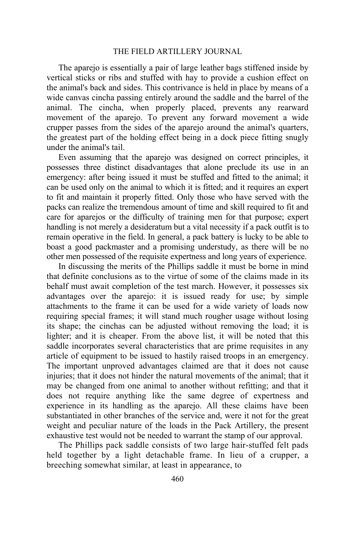The aparejo is essentially a pair of large leather bags stiffened inside by vertical sticks or ribs and stuffed with hay to provide a cushion effect on the animal's back and sides. This contrivance is held in place by means of a wide canvas cincha passing entirely around the saddle and the barrel of the animal. The cincha, when properly placed, prevents any rearward movement of the aparejo. To prevent any forward movement a wide crupper passes from the sides of the aparejo around the animal's quarters, the greatest part of the holding effect being in a dock piece fitting snugly under the animal's tail.

Even assuming that the aparejo was designed on correct principles, it possesses three distinct disadvantages that alone preclude its use in an emergency: after being issued it must be stuffed and fitted to the animal; it can be used only on the animal to which it is fitted; and it requires an expert to fit and maintain it properly fitted. Only those who have served with the packs can realize the tremendous amount of time and skill required to fit and care for aparejos or the difficulty of training men for that purpose; expert handling is not merely a desideratum but a vital necessity if a pack outfit is to remain operative in the field. In general, a pack battery is lucky to be able to boast a good packmaster and a promising understudy, as there will be no other men possessed of the requisite expertness and long years of experience.

In discussing the merits of the Phillips saddle it must be borne in mind that definite conclusions as to the virtue of some of the claims made in its behalf must await completion of the test march. However, it possesses six advantages over the aparejo: it is issued ready for use; by simple attachments to the frame it can be used for a wide variety of loads now requiring special frames; it will stand much rougher usage without losing its shape; the cinchas can be adjusted without removing the load; it is lighter; and it is cheaper. From the above list, it will be noted that this saddle incorporates several characteristics that are prime requisites in any article of equipment to be issued to hastily raised troops in an emergency. The important unproved advantages claimed are that it does not cause injuries; that it does not hinder the natural movements of the animal; that it may be changed from one animal to another without refitting; and that it does not require anything like the same degree of expertness and experience in its handling as the aparejo. All these claims have been substantiated in other branches of the service and, were it not for the great weight and peculiar nature of the loads in the Pack Artillery, the present exhaustive test would not be needed to warrant the stamp of our approval.

The Phillips pack saddle consists of two large hair-stuffed felt pads held together by a light detachable frame. In lieu of a crupper, a breeching somewhat similar, at least in appearance, to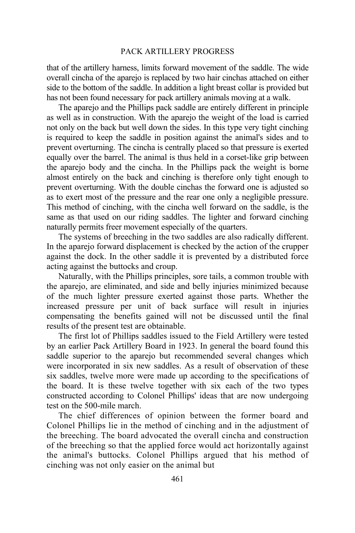### PACK ARTILLERY PROGRESS

that of the artillery harness, limits forward movement of the saddle. The wide overall cincha of the aparejo is replaced by two hair cinchas attached on either side to the bottom of the saddle. In addition a light breast collar is provided but has not been found necessary for pack artillery animals moving at a walk.

The aparejo and the Phillips pack saddle are entirely different in principle as well as in construction. With the aparejo the weight of the load is carried not only on the back but well down the sides. In this type very tight cinching is required to keep the saddle in position against the animal's sides and to prevent overturning. The cincha is centrally placed so that pressure is exerted equally over the barrel. The animal is thus held in a corset-like grip between the aparejo body and the cincha. In the Phillips pack the weight is borne almost entirely on the back and cinching is therefore only tight enough to prevent overturning. With the double cinchas the forward one is adjusted so as to exert most of the pressure and the rear one only a negligible pressure. This method of cinching, with the cincha well forward on the saddle, is the same as that used on our riding saddles. The lighter and forward cinching naturally permits freer movement especially of the quarters.

The systems of breeching in the two saddles are also radically different. In the aparejo forward displacement is checked by the action of the crupper against the dock. In the other saddle it is prevented by a distributed force acting against the buttocks and croup.

Naturally, with the Phillips principles, sore tails, a common trouble with the aparejo, are eliminated, and side and belly injuries minimized because of the much lighter pressure exerted against those parts. Whether the increased pressure per unit of back surface will result in injuries compensating the benefits gained will not be discussed until the final results of the present test are obtainable.

The first lot of Phillips saddles issued to the Field Artillery were tested by an earlier Pack Artillery Board in 1923. In general the board found this saddle superior to the aparejo but recommended several changes which were incorporated in six new saddles. As a result of observation of these six saddles, twelve more were made up according to the specifications of the board. It is these twelve together with six each of the two types constructed according to Colonel Phillips' ideas that are now undergoing test on the 500-mile march.

The chief differences of opinion between the former board and Colonel Phillips lie in the method of cinching and in the adjustment of the breeching. The board advocated the overall cincha and construction of the breeching so that the applied force would act horizontally against the animal's buttocks. Colonel Phillips argued that his method of cinching was not only easier on the animal but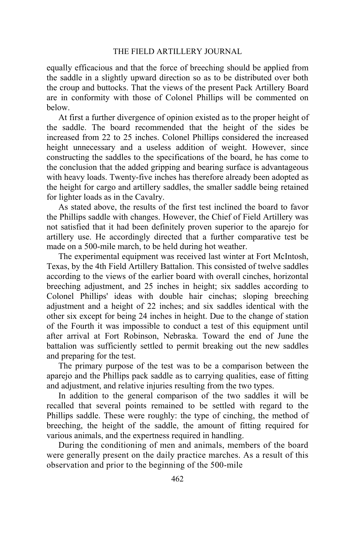equally efficacious and that the force of breeching should be applied from the saddle in a slightly upward direction so as to be distributed over both the croup and buttocks. That the views of the present Pack Artillery Board are in conformity with those of Colonel Phillips will be commented on below.

At first a further divergence of opinion existed as to the proper height of the saddle. The board recommended that the height of the sides be increased from 22 to 25 inches. Colonel Phillips considered the increased height unnecessary and a useless addition of weight. However, since constructing the saddles to the specifications of the board, he has come to the conclusion that the added gripping and bearing surface is advantageous with heavy loads. Twenty-five inches has therefore already been adopted as the height for cargo and artillery saddles, the smaller saddle being retained for lighter loads as in the Cavalry.

As stated above, the results of the first test inclined the board to favor the Phillips saddle with changes. However, the Chief of Field Artillery was not satisfied that it had been definitely proven superior to the aparejo for artillery use. He accordingly directed that a further comparative test be made on a 500-mile march, to be held during hot weather.

The experimental equipment was received last winter at Fort McIntosh, Texas, by the 4th Field Artillery Battalion. This consisted of twelve saddles according to the views of the earlier board with overall cinches, horizontal breeching adjustment, and 25 inches in height; six saddles according to Colonel Phillips' ideas with double hair cinchas; sloping breeching adjustment and a height of 22 inches; and six saddles identical with the other six except for being 24 inches in height. Due to the change of station of the Fourth it was impossible to conduct a test of this equipment until after arrival at Fort Robinson, Nebraska. Toward the end of June the battalion was sufficiently settled to permit breaking out the new saddles and preparing for the test.

The primary purpose of the test was to be a comparison between the aparejo and the Phillips pack saddle as to carrying qualities, ease of fitting and adjustment, and relative injuries resulting from the two types.

In addition to the general comparison of the two saddles it will be recalled that several points remained to be settled with regard to the Phillips saddle. These were roughly: the type of cinching, the method of breeching, the height of the saddle, the amount of fitting required for various animals, and the expertness required in handling.

During the conditioning of men and animals, members of the board were generally present on the daily practice marches. As a result of this observation and prior to the beginning of the 500-mile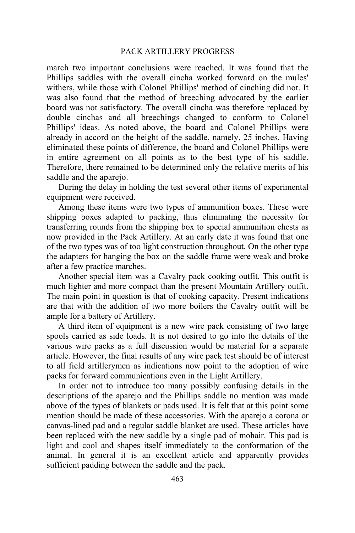### PACK ARTILLERY PROGRESS

march two important conclusions were reached. It was found that the Phillips saddles with the overall cincha worked forward on the mules' withers, while those with Colonel Phillips' method of cinching did not. It was also found that the method of breeching advocated by the earlier board was not satisfactory. The overall cincha was therefore replaced by double cinchas and all breechings changed to conform to Colonel Phillips' ideas. As noted above, the board and Colonel Phillips were already in accord on the height of the saddle, namely, 25 inches. Having eliminated these points of difference, the board and Colonel Phillips were in entire agreement on all points as to the best type of his saddle. Therefore, there remained to be determined only the relative merits of his saddle and the aparejo.

During the delay in holding the test several other items of experimental equipment were received.

Among these items were two types of ammunition boxes. These were shipping boxes adapted to packing, thus eliminating the necessity for transferring rounds from the shipping box to special ammunition chests as now provided in the Pack Artillery. At an early date it was found that one of the two types was of too light construction throughout. On the other type the adapters for hanging the box on the saddle frame were weak and broke after a few practice marches.

Another special item was a Cavalry pack cooking outfit. This outfit is much lighter and more compact than the present Mountain Artillery outfit. The main point in question is that of cooking capacity. Present indications are that with the addition of two more boilers the Cavalry outfit will be ample for a battery of Artillery.

A third item of equipment is a new wire pack consisting of two large spools carried as side loads. It is not desired to go into the details of the various wire packs as a full discussion would be material for a separate article. However, the final results of any wire pack test should be of interest to all field artillerymen as indications now point to the adoption of wire packs for forward communications even in the Light Artillery.

In order not to introduce too many possibly confusing details in the descriptions of the aparejo and the Phillips saddle no mention was made above of the types of blankets or pads used. It is felt that at this point some mention should be made of these accessories. With the aparejo a corona or canvas-lined pad and a regular saddle blanket are used. These articles have been replaced with the new saddle by a single pad of mohair. This pad is light and cool and shapes itself immediately to the conformation of the animal. In general it is an excellent article and apparently provides sufficient padding between the saddle and the pack.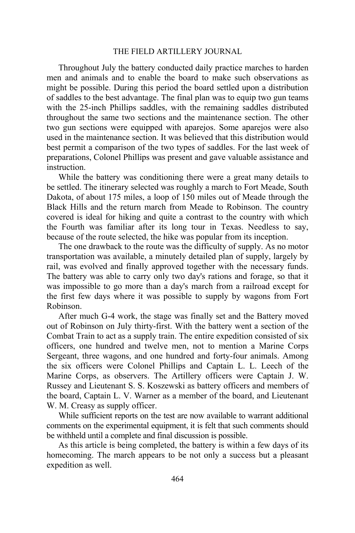Throughout July the battery conducted daily practice marches to harden men and animals and to enable the board to make such observations as might be possible. During this period the board settled upon a distribution of saddles to the best advantage. The final plan was to equip two gun teams with the 25-inch Phillips saddles, with the remaining saddles distributed throughout the same two sections and the maintenance section. The other two gun sections were equipped with aparejos. Some aparejos were also used in the maintenance section. It was believed that this distribution would best permit a comparison of the two types of saddles. For the last week of preparations, Colonel Phillips was present and gave valuable assistance and instruction.

While the battery was conditioning there were a great many details to be settled. The itinerary selected was roughly a march to Fort Meade, South Dakota, of about 175 miles, a loop of 150 miles out of Meade through the Black Hills and the return march from Meade to Robinson. The country covered is ideal for hiking and quite a contrast to the country with which the Fourth was familiar after its long tour in Texas. Needless to say, because of the route selected, the hike was popular from its inception.

The one drawback to the route was the difficulty of supply. As no motor transportation was available, a minutely detailed plan of supply, largely by rail, was evolved and finally approved together with the necessary funds. The battery was able to carry only two day's rations and forage, so that it was impossible to go more than a day's march from a railroad except for the first few days where it was possible to supply by wagons from Fort Robinson.

After much G-4 work, the stage was finally set and the Battery moved out of Robinson on July thirty-first. With the battery went a section of the Combat Train to act as a supply train. The entire expedition consisted of six officers, one hundred and twelve men, not to mention a Marine Corps Sergeant, three wagons, and one hundred and forty-four animals. Among the six officers were Colonel Phillips and Captain L. L. Leech of the Marine Corps, as observers. The Artillery officers were Captain J. W. Russey and Lieutenant S. S. Koszewski as battery officers and members of the board, Captain L. V. Warner as a member of the board, and Lieutenant W. M. Creasy as supply officer.

While sufficient reports on the test are now available to warrant additional comments on the experimental equipment, it is felt that such comments should be withheld until a complete and final discussion is possible.

As this article is being completed, the battery is within a few days of its homecoming. The march appears to be not only a success but a pleasant expedition as well.